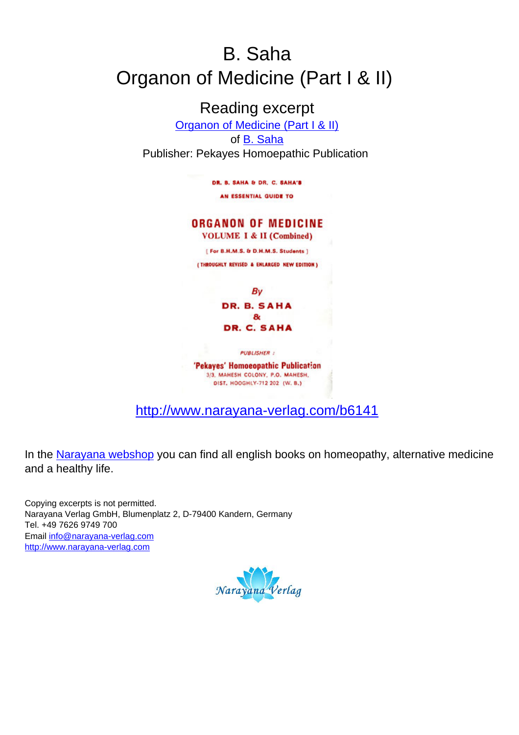# B. Saha Organon of Medicine (Part I & II)

Reading excerpt [Organon of Medicine \(Part I & II\)](http://www.narayana-verlag.com/Organon-of-Medicine-Part-I-II-B-Saha/b6141/partner/leseprobe) of **B**. Saha Publisher: Pekayes Homoepathic Publication

> DR. B. SAHA & DR. C. SAHA'S AN ESSENTIAL GUIDE TO

## **ORGANON OF MEDICINE**

**VOLUME I & II (Combined)** 

[ For B.H.M.S. & D.H.M.S. Students ]

(THROUGHLY REVISED & ENLARGED NEW EDITION)

By DR. B. SAHA  $\mathbf{a}$ DR. C. SAHA

**PUBLISHER :** 

'Pekayes' Homoeopathic Publication 3/3, MAHESH COLONY, P.O. MAHESH, DIST, HOOGHLY-712 202 (W. B.)

[http://www.narayana-verlag.com/b6141](http://www.narayana-verlag.com/Organon-of-Medicine-Part-I-II-B-Saha/b6141/partner/leseprobe)

In the [Narayana webshop](http://www.narayana-verlag.com/partner/leseprobe) you can find all english books on homeopathy, alternative medicine and a healthy life.

Copying excerpts is not permitted. Narayana Verlag GmbH, Blumenplatz 2, D-79400 Kandern, Germany Tel. +49 7626 9749 700 Email [info@narayana-verlag.com](mailto:info@narayana-verlag.com) [http://www.narayana-verlag.com](http://www.narayana-verlag.com/partner/leseprobe)

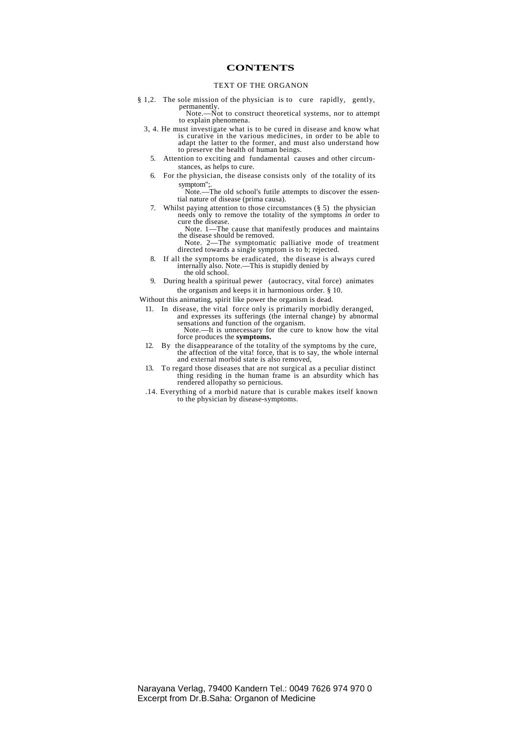#### **CONTENTS**

#### TEXT OF THE ORGANON

§ 1,2. The sole mission of the physician is to cure rapidly, gently, permanently. Note.—Not to construct theoretical systems, nor to attempt

to explain phenomena.

- 3, 4. He must investigate what is to be cured in disease and know what is curative in the various medicines, in order to be able to adapt the latter to the former, and must also understand how to preserve the health of human beings.
	- 5. Attention to exciting and fundamental causes and other circumstances, as helps to cure.
	- 6. For the physician, the disease consists only of the totality of its symptom";.

Note.—The old school's futile attempts to discover the essential nature of disease (prima causa).

7. Whilst paying attention to those circumstances (§ 5) the physician needs only to remove the totality of the symptoms *in* order to

cure the disease. Note. 1—The cause that manifestly produces and maintains the disease should be removed.

- Note. 2—The symptomatic palliative mode of treatment directed towards a single symptom is to b; rejected.
- 8. If all the symptoms be eradicated, the disease is always cured internally also. Note.—This is stupidly denied by the old school.
- 9. During health a spiritual pewer (autocracy, vital force) animates the organism and keeps it in harmonious order. § 10.

Without this animating, spirit like power the organism is dead.

11. In disease, the vital force only is primarily morbidly deranged, and expresses its sufferings (the internal change) by abnormal sensations and function of the organism.

Note.—It is unnecessary for the cure to know how the vital force produces the **symptoms.**

- 12. By the disappearance of the totality of the symptoms by the cure, the affection of the vita! force, that is to say, the whole internal and external morbid state is also removed,
- 13. To regard those diseases that are not surgical as a peculiar distinct thing residing in the human frame is an absurdity which has rendered allopathy so pernicious.
- .14. Everything of a morbid nature that is curable makes itself known to the physician by disease-symptoms.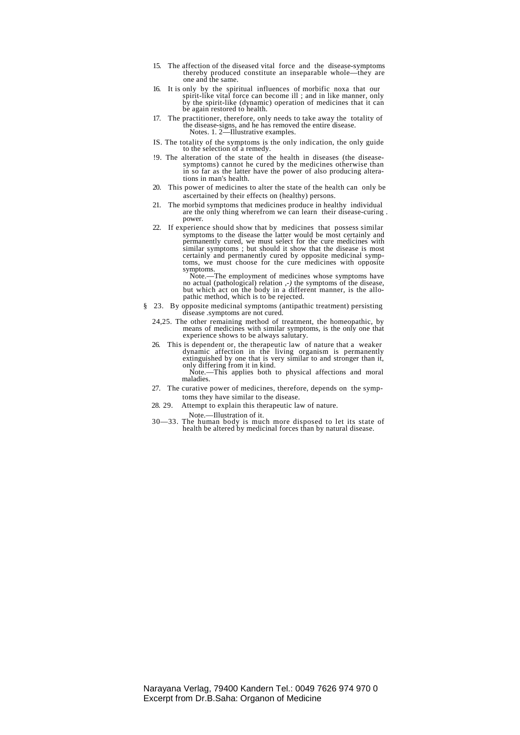- 15. The affection of the diseased vital force and the disease-symptoms thereby produced constitute an inseparable whole—they are one and the same.
- 16. It is only by the spiritual influences of morbific noxa that our spirit-like vital force can become ill ; and in like manner, only by the spirit-like (dynamic) operation of medicines that it can be again restored to health.
- 17. The practitioner, therefore, only needs to take away the totality of the disease-signs, and he has removed the entire disease. Notes. 1. 2—Illustrative examples.
- IS. The totality of the symptoms is the only indication, the only guide to the selection of a remedy.
- !9. The alteration of the state of the health in diseases (the disease-symptoms) cannot he cured by the medicines otherwise than in so far as the latter have the power of also producing alterations in man's health.
- 20. This power of medicines to alter the state of the health can only be ascertained by their effects on (healthy) persons.
- 21. The morbid symptoms that medicines produce in healthy individual are the only thing wherefrom we can learn their disease-curing . power.
- 22. If experience should show that by medicines that possess similar symptoms to the disease the latter would be most certainly and permanently cured, we must select for the cure medicines with<br>similar symptoms ; but should it show that the disease is most<br>certainly and permanently cured by opposite medicinal symp-<br>toms, we must choose for the cure med symptoms.

Note.—The employment of medicines whose symptoms have<br>no actual (pathological) relation  $, -$ ) the symptoms of the disease,<br>but which act on the body in a different manner, is the allo-<br>pathic method, which is to be reject

- § 23. By opposite medicinal symptoms (antipathic treatment) persisting disease .symptoms are not cured.
	- 24,25. The other remaining method of treatment, the homeopathic, by means of medicines with similar symptoms, is the only one that experience shows to be always salutary.
	- 26. This is dependent or, the therapeutic law of nature that a weaker dynamic affection in the living organism is permanently extinguished by one that is very similar to and stronger than it, only differing from it in kind. Note.—This applies both to physical affections and moral maladies.
	- 27. The curative power of medicines, therefore, depends on the symptoms they have similar to the disease.
	- 28. 29. Attempt to explain this therapeutic law of nature.

Note.—Illustration of it.

30—33. The human body is much more disposed to let its state of health be altered by medicinal forces than by natural disease.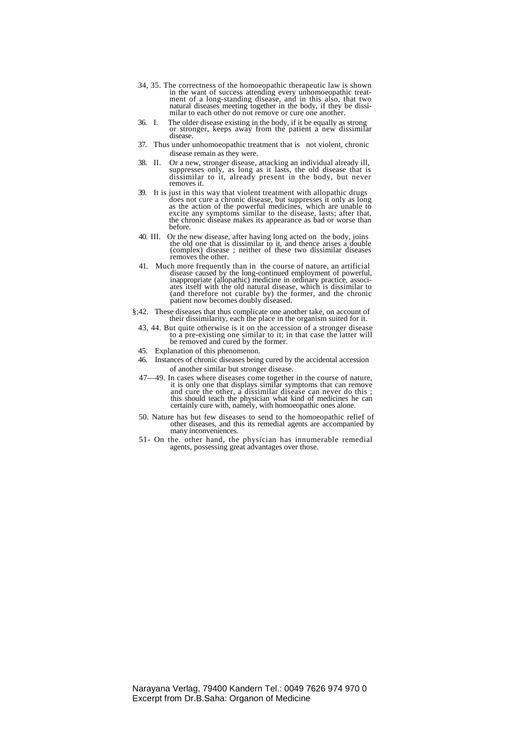- 34, 35. The correctness of the homoeopathic therapeutic law is shown in the want of success attending every unhomoeopathic treat-<br>ment of a long-standing disease, and in this also, that two<br>natural diseases meeting together in the body, if they be dissi-<br>milar to each other do not remove or
- 36. I. The older disease existing in the body, if it be equally as strong or stronger, keeps away from the patient a new dissimilar disease.
- 37. Thus under unhomoeopathic treatment that is not violent, chronic disease remain as they were.
- 38. II. Or a new, stronger disease, attacking an individual already ill, suppresses only, as long as it lasts, the old disease that is dissimilar to it, already present in the body, but never removes it.
- 39. It is just in this way that violent treatment with allopathic drugs does not cure a chronic disease, but suppresses it only as long<br>as the action of the powerful medicines, which are unable to<br>excite any symptoms similar to the disease, lasts; after that,<br>the chronic disease makes its appe before.
- 40. III. Or the new disease, after having long acted on the body, joins the old one that is dissimilar to it, and thence arises a double (complex) disease ; neither of these two dissimilar diseases removes the other.
- 41. Much more frequently than in the course of nature, an artificial disease caused by the long-continued employment of powerful, inappropriate (allopathic) medicine in ordinary practice, associ-ates itself with the old natural disease, which is dissimilar to (and therefore not curable by) the former, and the chronic patient now becomes doubly diseased.
- §;42. These diseases that thus complicate one another take, on account of their dissimilarity, each the place in the organism suited for it.
	- 43, 44. But quite otherwise is it on the accession of a stronger disease to a pre-existing one similar to it; in that case the latter will be removed and cured by the former.
- 45. Explanation of this phenomenon.
- 46. Instances of chronic diseases being cured by the accidental accession of another similar but stronger disease.
- 47—49. In cases where diseases come together in the course of nature, it is only one that displays similar symptoms that can remove and cure the other, a dissimilar disease can never do this ; this should teach the physician what kind of medicines he can certainly cure with, namely, with homoeopathic ones alone.
- 50. Nature has but few diseases to send to the homoeopathic relief of other diseases, and this its remedial agents are accompanied by many inconveniences.
- 51- On the. other hand, the physician has innumerable remedial agents, possessing great advantages over those.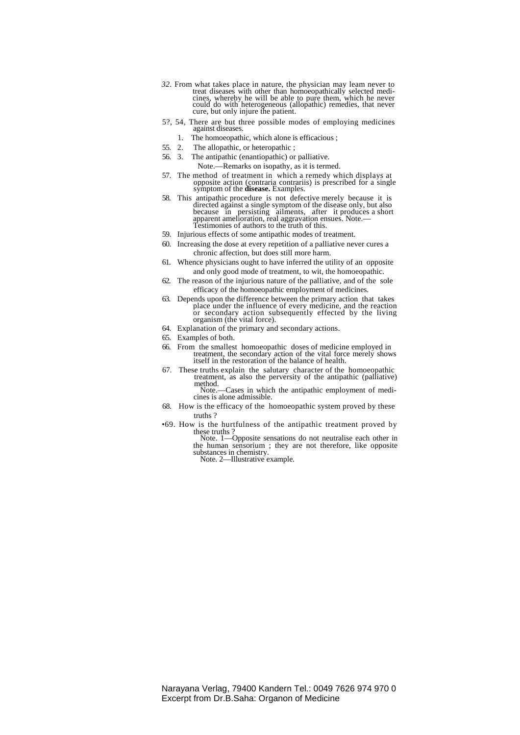- *32.* From what takes place in nature, the physician may leam never to treat diseases with other than homoeopathically selected medicines, whereby he will be able to pure them, which he never could do with heterogeneous (allopathic) remedies, that never cure, but only injure the patient.
- 5?, 54, There are but three possible modes of employing medicines against diseases.
- 1. The homoeopathic, which alone is efficacious ;<br>55. 2. The allopathic, or heteropathic :
	- The allopathic, or heteropathic;
- 56. 3. The antipathic (enantiopathic) or palliative.
	- Note.—Remarks on isopathy, as it is termed.
- 57. The method of treatment in which a remedy which displays at opposite action (contraria contrariis) is prescribed for a single symptom of the **disease.** Examples.
- 58. This antipathic procedure is not defective merely because it is directed against a single symptom of the disease only, but also because in persisting ailments, after it produces a short apparent amelioration, real aggravation ensues. Note.— Testimonies of authors to the truth of this.
- 59. Injurious effects of some antipathic modes of treatment.
- 60. Increasing the dose at every repetition of a palliative never cures a chronic affection, but does still more harm.
- 61. Whence physicians ought to have inferred the utility of an opposite and only good mode of treatment, to wit, the homoeopathic.
- 62. The reason of the injurious nature of the palliative, and of the sole efficacy of the homoeopathic employment of medicines.
- 63. Depends upon the difference between the primary action that takes place under the influence of every medicine, and the reaction or secondary action subsequently effected by the living organism (the vital force).
- 64. Explanation of the primary and secondary actions.
- 65. Examples of both.
- 66. From the smallest homoeopathic doses of medicine employed in treatment, the secondary action of the vital force merely shows itself in the restoration of the balance of health.
- 67. These truths explain the salutary character of the homoeopathic treatment, as also the perversity of the antipathic (palliative) method.<br>Note --Cases in which the antipathic employment of medi
	- cines is alone admissible.
- 68. How is the efficacy of the homoeopathic system proved by these truths ?
- •69. How is the hurtfulness of the antipathic treatment proved by

these truths ? Note. 1—Opposite sensations do not neutralise each other in the human sensorium ; they are not therefore, like opposite substances in chemistry. Note. 2—Illustrative example.

Narayana Verlag, 79400 Kandern Tel.: 0049 7626 974 970 0 Excerpt from Dr.B.Saha: Organon of Medicine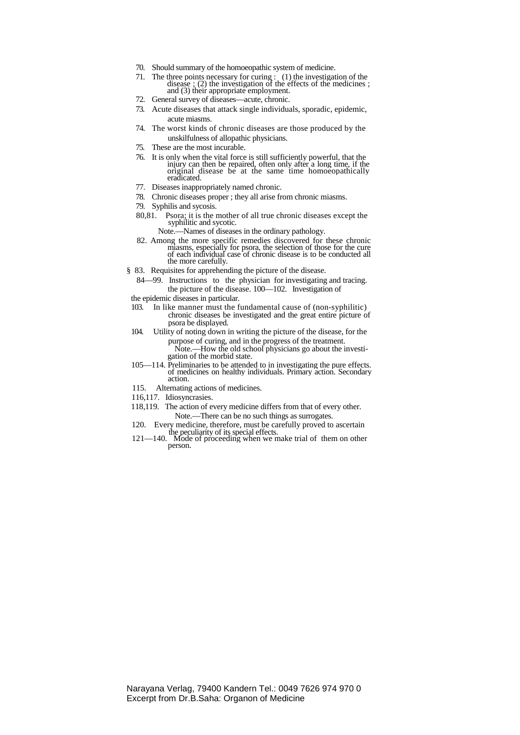- 70. Should summary of the homoeopathic system of medicine.
- 71. The three points necessary for curing : (1) the investigation of the disease ; (2) the investigation of the effects of the medicines ; and (3) their appropriate employment.
- 72. General survey of diseases—acute, chronic.
- 73. Acute diseases that attack single individuals, sporadic, epidemic, acute miasms.
- 74. The worst kinds of chronic diseases are those produced by the unskilfulness of allopathic physicians.
- 75. These are the most incurable.
- 76. It is only when the vital force is still sufficiently powerful, that the injury can then be repaired, often only after a long time, if the original disease be at the same time homoeopathically eradicated.
- 77. Diseases inappropriately named chronic.
- 78. Chronic diseases proper ; they all arise from chronic miasms.
- 79. Syphilis and sycosis.
- 80,81. Psora; it is the mother of all true chronic diseases except the syphilitic and sycotic.
	- Note.—Names of diseases in the ordinary pathology.
- 82. Among the more specific remedies discovered for these chronic miasms, especially for psora, the selection of those for the cure of each individual case of chronic disease is to be conducted all the more carefully.
- § 83. Requisites for apprehending the picture of the disease.
	- 84—99. Instructions to the physician for investigating and tracing. the picture of the disease. 100—102. Investigation of
- the epidemic diseases in particular.<br>103. In like manner must the f
- In like manner must the fundamental cause of (non-syphilitic) chronic diseases be investigated and the great entire picture of psora be displayed.
- 104. Utility of noting down in writing the picture of the disease, for the purpose of curing, and in the progress of the treatment.
	- Note.—How the old school physicians go about the investigation of the morbid state.
- 105—114. Preliminaries to be attended to in investigating the pure effects. of medicines on healthy individuals. Primary action. Secondary action.
- 115. Alternating actions of medicines.
- 116,117. Idiosyncrasies.
- 118,119. The action of every medicine differs from that of every other. Note.—There can be no such things as surrogates.
- 120. Every medicine, therefore, must be carefully proved to ascertain
- the peculiarity of its special effects. 121—140. Mode of proceeding when we make trial of them on other person.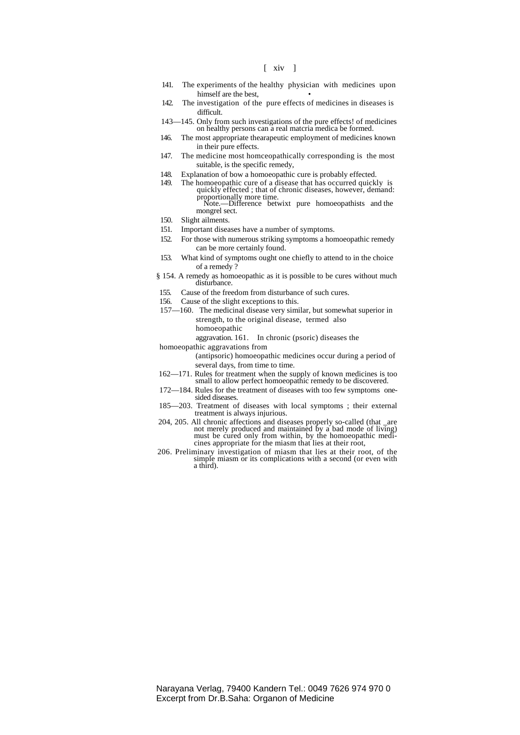[ xiv ]

- 141. The experiments of the healthy physician with medicines upon himself are the best,
- 142. The investigation of the pure effects of medicines in diseases is difficult.
- 143—145. Only from such investigations of the pure effects! of medicines on healthy persons can a real matcria medica be formed.
- 146. The most appropriate thearapeutic employment of medicines known in their pure effects.
- 147. The medicine most homceopathically corresponding is the most suitable, is the specific remedy,
- 148. Explanation of bow a homoeopathic cure is probably effected.
- 149. The homoeopathic cure of a disease that has occurred quickly is quickly effected ; that of chronic diseases, however, demand: proportionally more time. Note.—Difference betwixt pure homoeopathists and the

mongrel sect.

- 150. Slight ailments.
- 151. Important diseases have a number of symptoms.
- 152. For those with numerous striking symptoms a homoeopathic remedy can be more certainly found.
- 153. What kind of symptoms ought one chiefly to attend to in the choice of a remedy ?
- § 154. A remedy as homoeopathic as it is possible to be cures without much disturbance.
- 155. Cause of the freedom from disturbance of such cures.
- 156. Cause of the slight exceptions to this.
- 157—160. The medicinal disease very similar, but somewhat superior in strength, to the original disease, termed also homoeopathic

aggravation. 161. In chronic (psoric) diseases the

homoeopathic aggravations from

(antipsoric) homoeopathic medicines occur during a period of several days, from time to time.

- 162—171. Rules for treatment when the supply of known medicines is too small to allow perfect homoeopathic remedy to be discovered.
- 172—184. Rules for the treatment of diseases with too few symptoms onesided diseases.
- 185—203. Treatment of diseases with local symptoms ; their external treatment is always injurious.
- 204, 205. All chronic affections and diseases properly so-called (that \_are not merely produced and maintained by a bad mode of living) must be cured only from within, by the homoeopathic medicines appropriate for the miasm that lies at their root,
- 206. Preliminary investigation of miasm that lies at their root, of the simple miasm or its complications with a second (or even with a third).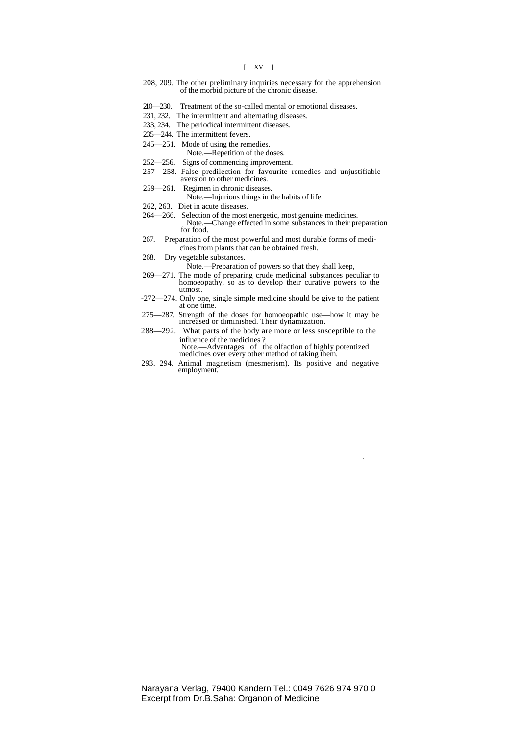### [ XV ]

- 208, 209. The other preliminary inquiries necessary for the apprehension of the morbid picture of the chronic disease.
- 210—230. Treatment of the so-called mental or emotional diseases.
- 231, 232. The intermittent and alternating diseases.
- 233, 234. The periodical intermittent diseases.
- 235—244. The intermittent fevers.
- 245—251. Mode of using the remedies.
	- Note.—Repetition of the doses.
- 252—256. Signs of commencing improvement.
- 257—258. False predilection for favourite remedies and unjustifiable aversion to other medicines.
- 259—261. Regimen in chronic diseases.
	- Note.—Injurious things in the habits of life.
- 262, 263. Diet in acute diseases.
- 264—266. Selection of the most energetic, most genuine medicines.
- Note.—Change effected in some substances in their preparation for food.
- 267. Preparation of the most powerful and most durable forms of medicines from plants that can be obtained fresh.
- 268. Dry vegetable substances.

Note.—Preparation of powers so that they shall keep,

- 269—271. The mode of preparing crude medicinal substances peculiar to homoeopathy, so as to develop their curative powers to the utmost.
- -272—274. Only one, single simple medicine should be give to the patient at one time.
- 275—287. Strength of the doses for homoeopathic use—how it may be increased or diminished. Their dynamization.
- 288—292. What parts of the body are more or less susceptible to the influence of the medicines ?

Note.—Advantages of the olfaction of highly potentized medicines over every other method of taking them.

.

293. 294. Animal magnetism (mesmerism). Its positive and negative employment.